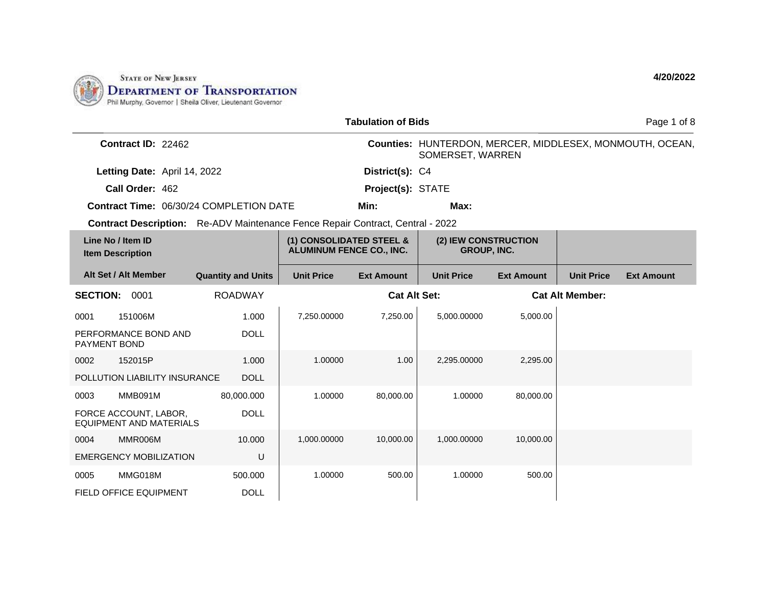

|                                                                                       |                           |                                                             | <b>Tabulation of Bids</b> |                                     |                   | Page 1 of 8            |                                                          |
|---------------------------------------------------------------------------------------|---------------------------|-------------------------------------------------------------|---------------------------|-------------------------------------|-------------------|------------------------|----------------------------------------------------------|
| Contract ID: 22462                                                                    |                           |                                                             |                           | SOMERSET, WARREN                    |                   |                        | Counties: HUNTERDON, MERCER, MIDDLESEX, MONMOUTH, OCEAN, |
| Letting Date: April 14, 2022                                                          |                           |                                                             | District(s): C4           |                                     |                   |                        |                                                          |
| Call Order: 462                                                                       |                           |                                                             | Project(s): STATE         |                                     |                   |                        |                                                          |
| <b>Contract Time: 06/30/24 COMPLETION DATE</b>                                        |                           |                                                             | Min:                      | Max:                                |                   |                        |                                                          |
| <b>Contract Description:</b> Re-ADV Maintenance Fence Repair Contract, Central - 2022 |                           |                                                             |                           |                                     |                   |                        |                                                          |
| Line No / Item ID<br><b>Item Description</b>                                          |                           | (1) CONSOLIDATED STEEL &<br><b>ALUMINUM FENCE CO., INC.</b> |                           | (2) IEW CONSTRUCTION<br>GROUP, INC. |                   |                        |                                                          |
| Alt Set / Alt Member                                                                  | <b>Quantity and Units</b> | <b>Unit Price</b>                                           | <b>Ext Amount</b>         | <b>Unit Price</b>                   | <b>Ext Amount</b> | <b>Unit Price</b>      | <b>Ext Amount</b>                                        |
| <b>SECTION:</b><br>0001                                                               | <b>ROADWAY</b>            |                                                             | <b>Cat Alt Set:</b>       |                                     |                   | <b>Cat Alt Member:</b> |                                                          |
| 151006M<br>0001                                                                       | 1.000                     | 7.250.00000                                                 | 7,250.00                  | 5.000.00000                         | 5,000.00          |                        |                                                          |
| PERFORMANCE BOND AND<br><b>PAYMENT BOND</b>                                           | <b>DOLL</b>               |                                                             |                           |                                     |                   |                        |                                                          |
| 0002<br>152015P                                                                       | 1.000                     | 1.00000                                                     | 1.00                      | 2,295.00000                         | 2,295.00          |                        |                                                          |
| POLLUTION LIABILITY INSURANCE                                                         | <b>DOLL</b>               |                                                             |                           |                                     |                   |                        |                                                          |
| MMB091M<br>0003                                                                       | 80,000.000                | 1.00000                                                     | 80,000.00                 | 1.00000                             | 80,000.00         |                        |                                                          |
| FORCE ACCOUNT, LABOR,<br><b>EQUIPMENT AND MATERIALS</b>                               | <b>DOLL</b>               |                                                             |                           |                                     |                   |                        |                                                          |
| MMR006M<br>0004                                                                       | 10.000                    | 1,000.00000                                                 | 10,000.00                 | 1,000.00000                         | 10,000.00         |                        |                                                          |
| <b>EMERGENCY MOBILIZATION</b>                                                         | U                         |                                                             |                           |                                     |                   |                        |                                                          |
| MMG018M<br>0005                                                                       | 500.000                   | 1.00000                                                     | 500.00                    | 1.00000                             | 500.00            |                        |                                                          |
| <b>FIELD OFFICE EQUIPMENT</b>                                                         | <b>DOLL</b>               |                                                             |                           |                                     |                   |                        |                                                          |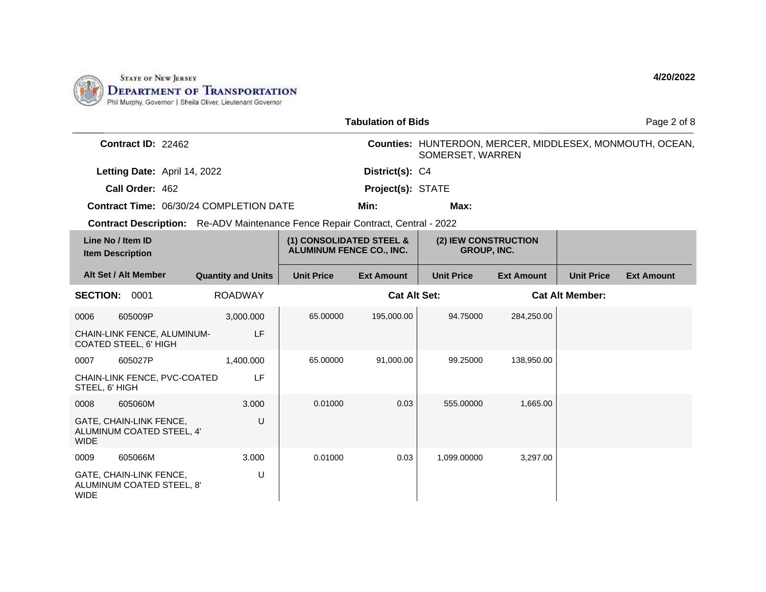

|                                                                                       |                           | Page 2 of 8                                                 |                     |                                            |                   |                        |                                                          |
|---------------------------------------------------------------------------------------|---------------------------|-------------------------------------------------------------|---------------------|--------------------------------------------|-------------------|------------------------|----------------------------------------------------------|
| Contract ID: 22462                                                                    |                           |                                                             |                     | SOMERSET, WARREN                           |                   |                        | Counties: HUNTERDON, MERCER, MIDDLESEX, MONMOUTH, OCEAN, |
| Letting Date: April 14, 2022                                                          |                           |                                                             | District(s): C4     |                                            |                   |                        |                                                          |
| Call Order: 462                                                                       |                           |                                                             | Project(s): STATE   |                                            |                   |                        |                                                          |
| <b>Contract Time: 06/30/24 COMPLETION DATE</b>                                        |                           |                                                             | Min:                | Max:                                       |                   |                        |                                                          |
| <b>Contract Description:</b> Re-ADV Maintenance Fence Repair Contract, Central - 2022 |                           |                                                             |                     |                                            |                   |                        |                                                          |
| Line No / Item ID<br><b>Item Description</b>                                          |                           | (1) CONSOLIDATED STEEL &<br><b>ALUMINUM FENCE CO., INC.</b> |                     | (2) IEW CONSTRUCTION<br><b>GROUP, INC.</b> |                   |                        |                                                          |
| Alt Set / Alt Member                                                                  | <b>Quantity and Units</b> | <b>Unit Price</b>                                           | <b>Ext Amount</b>   | <b>Unit Price</b>                          | <b>Ext Amount</b> | <b>Unit Price</b>      | <b>Ext Amount</b>                                        |
| <b>SECTION: 0001</b>                                                                  | <b>ROADWAY</b>            |                                                             | <b>Cat Alt Set:</b> |                                            |                   | <b>Cat Alt Member:</b> |                                                          |
| 605009P<br>0006                                                                       | 3,000.000                 | 65.00000                                                    | 195,000.00          | 94.75000                                   | 284,250.00        |                        |                                                          |
| CHAIN-LINK FENCE, ALUMINUM-<br>COATED STEEL, 6' HIGH                                  | LF                        |                                                             |                     |                                            |                   |                        |                                                          |
| 605027P<br>0007                                                                       | 1.400.000                 | 65.00000                                                    | 91,000.00           | 99.25000                                   | 138,950.00        |                        |                                                          |
| CHAIN-LINK FENCE, PVC-COATED<br>STEEL, 6' HIGH                                        | LF                        |                                                             |                     |                                            |                   |                        |                                                          |
| 605060M<br>0008                                                                       | 3.000                     | 0.01000                                                     | 0.03                | 555.00000                                  | 1,665.00          |                        |                                                          |
| GATE, CHAIN-LINK FENCE,<br>ALUMINUM COATED STEEL, 4'<br><b>WIDE</b>                   | U                         |                                                             |                     |                                            |                   |                        |                                                          |
| 605066M<br>0009                                                                       | 3.000                     | 0.01000                                                     | 0.03                | 1,099.00000                                | 3,297.00          |                        |                                                          |
| GATE, CHAIN-LINK FENCE,<br>ALUMINUM COATED STEEL, 8'<br><b>WIDE</b>                   | U                         |                                                             |                     |                                            |                   |                        |                                                          |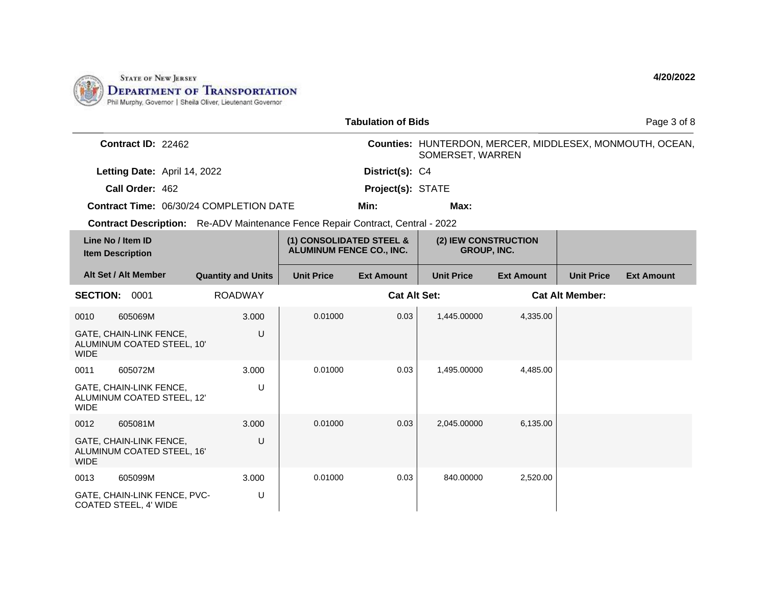

|                                              |                                                       |                                                                                       |                                                      | <b>Tabulation of Bids</b> |                                            |                   |                        | Page 3 of 8                                              |
|----------------------------------------------|-------------------------------------------------------|---------------------------------------------------------------------------------------|------------------------------------------------------|---------------------------|--------------------------------------------|-------------------|------------------------|----------------------------------------------------------|
|                                              | Contract ID: 22462                                    |                                                                                       |                                                      |                           | SOMERSET, WARREN                           |                   |                        | Counties: HUNTERDON, MERCER, MIDDLESEX, MONMOUTH, OCEAN, |
|                                              | Letting Date: April 14, 2022                          |                                                                                       |                                                      | District(s): C4           |                                            |                   |                        |                                                          |
|                                              | Call Order: 462                                       |                                                                                       |                                                      | Project(s): STATE         |                                            |                   |                        |                                                          |
|                                              |                                                       | Contract Time: 06/30/24 COMPLETION DATE                                               |                                                      | Min:                      | Max:                                       |                   |                        |                                                          |
|                                              |                                                       | <b>Contract Description:</b> Re-ADV Maintenance Fence Repair Contract, Central - 2022 |                                                      |                           |                                            |                   |                        |                                                          |
| Line No / Item ID<br><b>Item Description</b> |                                                       |                                                                                       | (1) CONSOLIDATED STEEL &<br>ALUMINUM FENCE CO., INC. |                           | (2) IEW CONSTRUCTION<br><b>GROUP, INC.</b> |                   |                        |                                                          |
|                                              | Alt Set / Alt Member                                  | <b>Quantity and Units</b>                                                             | <b>Unit Price</b>                                    | <b>Ext Amount</b>         | <b>Unit Price</b>                          | <b>Ext Amount</b> | <b>Unit Price</b>      | <b>Ext Amount</b>                                        |
| <b>SECTION:</b>                              | 0001                                                  | <b>ROADWAY</b>                                                                        |                                                      | <b>Cat Alt Set:</b>       |                                            |                   | <b>Cat Alt Member:</b> |                                                          |
| 0010                                         | 605069M                                               | 3.000                                                                                 | 0.01000                                              | 0.03                      | 1,445.00000                                | 4,335.00          |                        |                                                          |
| <b>WIDE</b>                                  | GATE, CHAIN-LINK FENCE,<br>ALUMINUM COATED STEEL, 10' | U                                                                                     |                                                      |                           |                                            |                   |                        |                                                          |
| 0011                                         | 605072M                                               | 3.000                                                                                 | 0.01000                                              | 0.03                      | 1,495.00000                                | 4,485.00          |                        |                                                          |
| <b>WIDE</b>                                  | GATE, CHAIN-LINK FENCE,<br>ALUMINUM COATED STEEL, 12' | U                                                                                     |                                                      |                           |                                            |                   |                        |                                                          |
| 0012                                         | 605081M                                               | 3.000                                                                                 | 0.01000                                              | 0.03                      | 2,045.00000                                | 6,135.00          |                        |                                                          |
| <b>WIDE</b>                                  | GATE, CHAIN-LINK FENCE,<br>ALUMINUM COATED STEEL, 16' | U                                                                                     |                                                      |                           |                                            |                   |                        |                                                          |
| 0013                                         | 605099M                                               | 3.000                                                                                 | 0.01000                                              | 0.03                      | 840.00000                                  | 2,520.00          |                        |                                                          |
|                                              | GATE, CHAIN-LINK FENCE, PVC-<br>COATED STEEL, 4' WIDE | U                                                                                     |                                                      |                           |                                            |                   |                        |                                                          |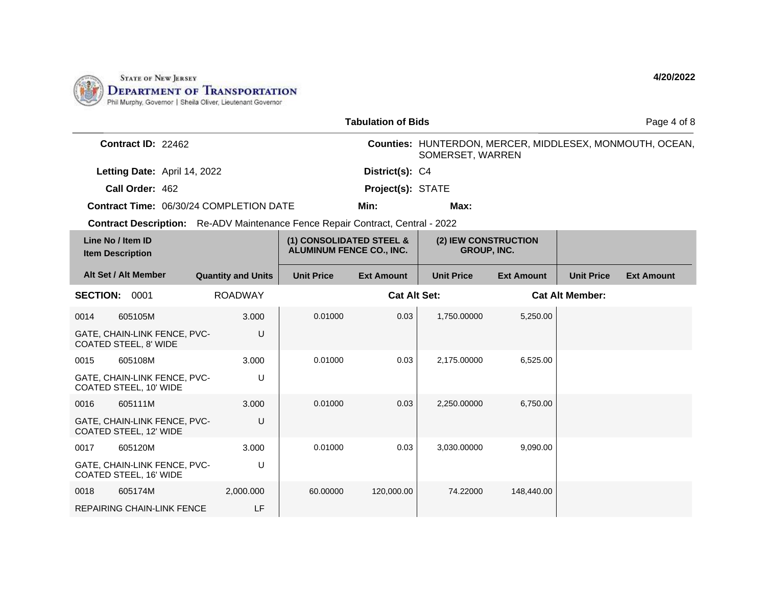

|                                                                                       |                           |                                                      | <b>Tabulation of Bids</b> |                                     |                   |                        | Page 4 of 8                                              |
|---------------------------------------------------------------------------------------|---------------------------|------------------------------------------------------|---------------------------|-------------------------------------|-------------------|------------------------|----------------------------------------------------------|
| Contract ID: 22462                                                                    |                           |                                                      |                           | SOMERSET, WARREN                    |                   |                        | Counties: HUNTERDON, MERCER, MIDDLESEX, MONMOUTH, OCEAN, |
| Letting Date: April 14, 2022                                                          |                           |                                                      | District(s): C4           |                                     |                   |                        |                                                          |
| Call Order: 462                                                                       |                           |                                                      | Project(s): STATE         |                                     |                   |                        |                                                          |
| Contract Time: 06/30/24 COMPLETION DATE                                               |                           |                                                      | Min:                      | Max:                                |                   |                        |                                                          |
| <b>Contract Description:</b> Re-ADV Maintenance Fence Repair Contract, Central - 2022 |                           |                                                      |                           |                                     |                   |                        |                                                          |
| Line No / Item ID<br><b>Item Description</b>                                          |                           | (1) CONSOLIDATED STEEL &<br>ALUMINUM FENCE CO., INC. |                           | (2) IEW CONSTRUCTION<br>GROUP, INC. |                   |                        |                                                          |
| Alt Set / Alt Member                                                                  | <b>Quantity and Units</b> | <b>Unit Price</b>                                    | <b>Ext Amount</b>         | <b>Unit Price</b>                   | <b>Ext Amount</b> | <b>Unit Price</b>      | <b>Ext Amount</b>                                        |
| <b>SECTION:</b><br>0001                                                               | <b>ROADWAY</b>            |                                                      | <b>Cat Alt Set:</b>       |                                     |                   | <b>Cat Alt Member:</b> |                                                          |
| 0014<br>605105M                                                                       | 3.000                     | 0.01000                                              | 0.03                      | 1,750.00000                         | 5,250.00          |                        |                                                          |
| GATE, CHAIN-LINK FENCE, PVC-<br>COATED STEEL, 8' WIDE                                 | U                         |                                                      |                           |                                     |                   |                        |                                                          |
| 605108M<br>0015                                                                       | 3.000                     | 0.01000                                              | 0.03                      | 2,175.00000                         | 6,525.00          |                        |                                                          |
| GATE, CHAIN-LINK FENCE, PVC-<br>COATED STEEL, 10' WIDE                                | U                         |                                                      |                           |                                     |                   |                        |                                                          |
| 0016<br>605111M                                                                       | 3.000                     | 0.01000                                              | 0.03                      | 2,250.00000                         | 6,750.00          |                        |                                                          |
| GATE, CHAIN-LINK FENCE, PVC-<br>COATED STEEL, 12' WIDE                                | U                         |                                                      |                           |                                     |                   |                        |                                                          |
| 605120M<br>0017                                                                       | 3.000                     | 0.01000                                              | 0.03                      | 3,030.00000                         | 9,090.00          |                        |                                                          |
| GATE, CHAIN-LINK FENCE, PVC-<br>COATED STEEL, 16' WIDE                                | U                         |                                                      |                           |                                     |                   |                        |                                                          |
| 0018<br>605174M                                                                       | 2,000.000                 | 60.00000                                             | 120,000.00                | 74.22000                            | 148,440.00        |                        |                                                          |
| <b>REPAIRING CHAIN-LINK FENCE</b>                                                     | LF                        |                                                      |                           |                                     |                   |                        |                                                          |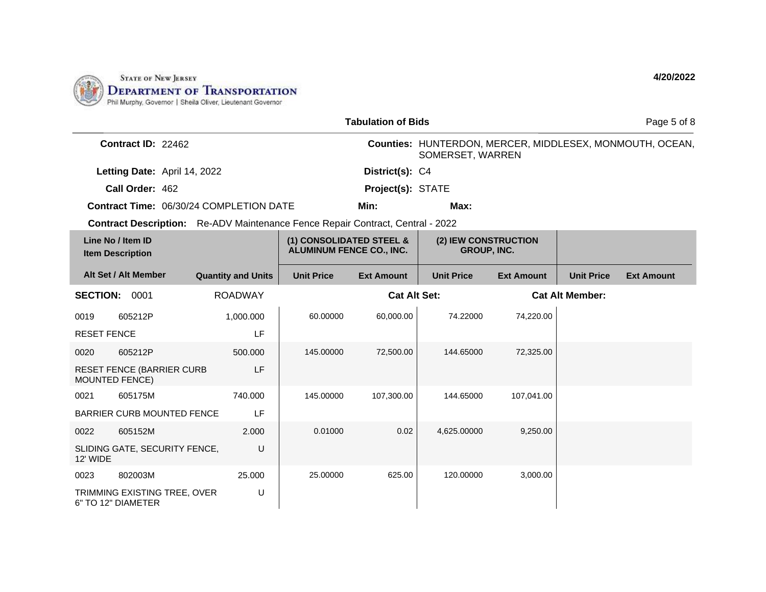

|                    |                                                    |                                                                                       |                                                             | <b>Tabulation of Bids</b> |                                     |                   |                        | Page 5 of 8                                              |
|--------------------|----------------------------------------------------|---------------------------------------------------------------------------------------|-------------------------------------------------------------|---------------------------|-------------------------------------|-------------------|------------------------|----------------------------------------------------------|
|                    | Contract ID: 22462                                 |                                                                                       |                                                             |                           | SOMERSET, WARREN                    |                   |                        | Counties: HUNTERDON, MERCER, MIDDLESEX, MONMOUTH, OCEAN, |
|                    | Letting Date: April 14, 2022                       |                                                                                       |                                                             | District(s): C4           |                                     |                   |                        |                                                          |
|                    | Call Order: 462                                    |                                                                                       |                                                             | Project(s): STATE         |                                     |                   |                        |                                                          |
|                    |                                                    | <b>Contract Time: 06/30/24 COMPLETION DATE</b>                                        |                                                             | Min:                      | Max:                                |                   |                        |                                                          |
|                    |                                                    | <b>Contract Description:</b> Re-ADV Maintenance Fence Repair Contract, Central - 2022 |                                                             |                           |                                     |                   |                        |                                                          |
|                    | Line No / Item ID<br><b>Item Description</b>       |                                                                                       | (1) CONSOLIDATED STEEL &<br><b>ALUMINUM FENCE CO., INC.</b> |                           | (2) IEW CONSTRUCTION<br>GROUP, INC. |                   |                        |                                                          |
|                    | Alt Set / Alt Member                               | <b>Quantity and Units</b>                                                             | <b>Unit Price</b>                                           | <b>Ext Amount</b>         | <b>Unit Price</b>                   | <b>Ext Amount</b> | <b>Unit Price</b>      | <b>Ext Amount</b>                                        |
| <b>SECTION:</b>    | 0001                                               | <b>ROADWAY</b>                                                                        |                                                             | <b>Cat Alt Set:</b>       |                                     |                   | <b>Cat Alt Member:</b> |                                                          |
| 0019               | 605212P                                            | 1,000.000                                                                             | 60.00000                                                    | 60,000.00                 | 74.22000                            | 74,220.00         |                        |                                                          |
| <b>RESET FENCE</b> |                                                    | LF                                                                                    |                                                             |                           |                                     |                   |                        |                                                          |
| 0020               | 605212P                                            | 500.000                                                                               | 145.00000                                                   | 72,500.00                 | 144.65000                           | 72,325.00         |                        |                                                          |
| MOUNTED FENCE)     | <b>RESET FENCE (BARRIER CURB</b>                   | LF                                                                                    |                                                             |                           |                                     |                   |                        |                                                          |
| 0021               | 605175M                                            | 740.000                                                                               | 145.00000                                                   | 107,300.00                | 144.65000                           | 107,041.00        |                        |                                                          |
|                    | BARRIER CURB MOUNTED FENCE                         | LF                                                                                    |                                                             |                           |                                     |                   |                        |                                                          |
| 0022               | 605152M                                            | 2.000                                                                                 | 0.01000                                                     | 0.02                      | 4,625.00000                         | 9,250.00          |                        |                                                          |
| 12' WIDE           | SLIDING GATE, SECURITY FENCE,                      | U                                                                                     |                                                             |                           |                                     |                   |                        |                                                          |
| 0023               | 802003M                                            | 25.000                                                                                | 25,00000                                                    | 625.00                    | 120.00000                           | 3,000.00          |                        |                                                          |
|                    | TRIMMING EXISTING TREE, OVER<br>6" TO 12" DIAMETER | U                                                                                     |                                                             |                           |                                     |                   |                        |                                                          |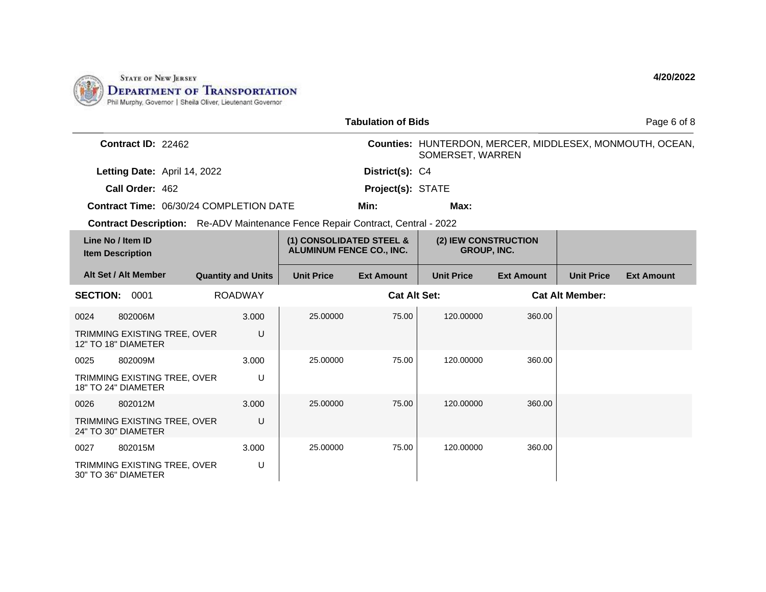

|                                                                                       |                           |                                                             | <b>Tabulation of Bids</b> |                                            |                   |                        | Page 6 of 8                                              |
|---------------------------------------------------------------------------------------|---------------------------|-------------------------------------------------------------|---------------------------|--------------------------------------------|-------------------|------------------------|----------------------------------------------------------|
| Contract ID: 22462                                                                    |                           |                                                             |                           | SOMERSET, WARREN                           |                   |                        | Counties: HUNTERDON, MERCER, MIDDLESEX, MONMOUTH, OCEAN, |
| Letting Date: April 14, 2022                                                          |                           |                                                             | District(s): C4           |                                            |                   |                        |                                                          |
| Call Order: 462                                                                       |                           |                                                             | Project(s): STATE         |                                            |                   |                        |                                                          |
| Contract Time: 06/30/24 COMPLETION DATE                                               |                           |                                                             | Min:                      | Max:                                       |                   |                        |                                                          |
| <b>Contract Description:</b> Re-ADV Maintenance Fence Repair Contract, Central - 2022 |                           |                                                             |                           |                                            |                   |                        |                                                          |
| Line No / Item ID<br><b>Item Description</b>                                          |                           | (1) CONSOLIDATED STEEL &<br><b>ALUMINUM FENCE CO., INC.</b> |                           | (2) IEW CONSTRUCTION<br><b>GROUP, INC.</b> |                   |                        |                                                          |
| Alt Set / Alt Member                                                                  | <b>Quantity and Units</b> | <b>Unit Price</b>                                           | <b>Ext Amount</b>         | <b>Unit Price</b>                          | <b>Ext Amount</b> | <b>Unit Price</b>      | <b>Ext Amount</b>                                        |
| <b>SECTION: 0001</b>                                                                  | <b>ROADWAY</b>            |                                                             | <b>Cat Alt Set:</b>       |                                            |                   | <b>Cat Alt Member:</b> |                                                          |
| 802006M<br>0024                                                                       | 3.000                     | 25.00000                                                    | 75.00                     | 120.00000                                  | 360.00            |                        |                                                          |
| TRIMMING EXISTING TREE, OVER<br>12" TO 18" DIAMETER                                   | U                         |                                                             |                           |                                            |                   |                        |                                                          |
| 0025<br>802009M                                                                       | 3.000                     | 25.00000                                                    | 75.00                     | 120.00000                                  | 360.00            |                        |                                                          |
| TRIMMING EXISTING TREE, OVER<br>18" TO 24" DIAMETER                                   | U                         |                                                             |                           |                                            |                   |                        |                                                          |
| 802012M<br>0026                                                                       | 3.000                     | 25.00000                                                    | 75.00                     | 120.00000                                  | 360.00            |                        |                                                          |
| TRIMMING EXISTING TREE, OVER<br>24" TO 30" DIAMETER                                   | U                         |                                                             |                           |                                            |                   |                        |                                                          |
| 0027<br>802015M                                                                       | 3.000                     | 25.00000                                                    | 75.00                     | 120.00000                                  | 360.00            |                        |                                                          |
| TRIMMING EXISTING TREE, OVER<br>30" TO 36" DIAMETER                                   | U                         |                                                             |                           |                                            |                   |                        |                                                          |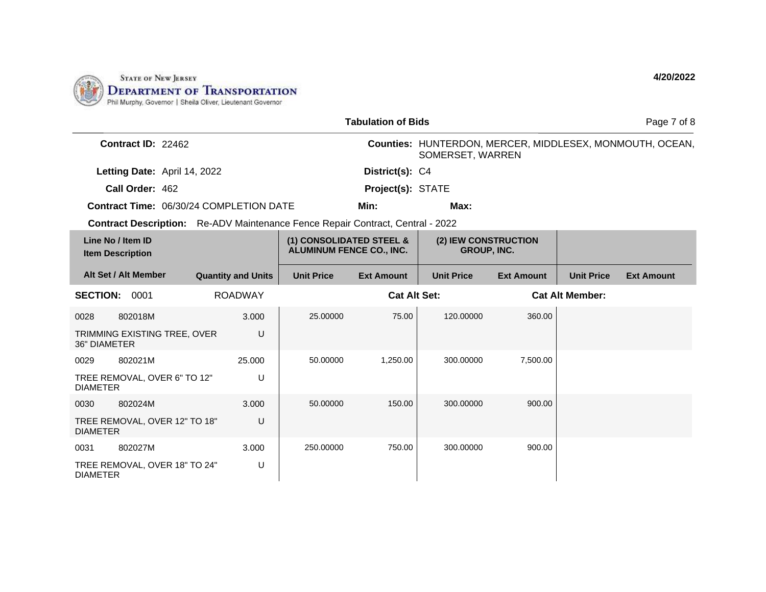

|                                                                                       |                           |                                                             | <b>Tabulation of Bids</b> |                                            |                   |                        | Page 7 of 8                                              |
|---------------------------------------------------------------------------------------|---------------------------|-------------------------------------------------------------|---------------------------|--------------------------------------------|-------------------|------------------------|----------------------------------------------------------|
| Contract ID: 22462                                                                    |                           |                                                             |                           | SOMERSET, WARREN                           |                   |                        | Counties: HUNTERDON, MERCER, MIDDLESEX, MONMOUTH, OCEAN, |
| Letting Date: April 14, 2022                                                          |                           |                                                             | District(s): C4           |                                            |                   |                        |                                                          |
| Call Order: 462                                                                       |                           |                                                             | Project(s): STATE         |                                            |                   |                        |                                                          |
| <b>Contract Time: 06/30/24 COMPLETION DATE</b>                                        |                           |                                                             | Min:                      | Max:                                       |                   |                        |                                                          |
| <b>Contract Description:</b> Re-ADV Maintenance Fence Repair Contract, Central - 2022 |                           |                                                             |                           |                                            |                   |                        |                                                          |
| Line No / Item ID<br><b>Item Description</b>                                          |                           | (1) CONSOLIDATED STEEL &<br><b>ALUMINUM FENCE CO., INC.</b> |                           | (2) IEW CONSTRUCTION<br><b>GROUP, INC.</b> |                   |                        |                                                          |
| Alt Set / Alt Member                                                                  | <b>Quantity and Units</b> | <b>Unit Price</b>                                           | <b>Ext Amount</b>         | <b>Unit Price</b>                          | <b>Ext Amount</b> | <b>Unit Price</b>      | <b>Ext Amount</b>                                        |
| <b>SECTION: 0001</b>                                                                  | <b>ROADWAY</b>            |                                                             | <b>Cat Alt Set:</b>       |                                            |                   | <b>Cat Alt Member:</b> |                                                          |
| 802018M<br>0028                                                                       | 3.000                     | 25.00000                                                    | 75.00                     | 120.00000                                  | 360.00            |                        |                                                          |
| TRIMMING EXISTING TREE, OVER<br><b>36" DIAMETER</b>                                   | U                         |                                                             |                           |                                            |                   |                        |                                                          |
| 802021M<br>0029                                                                       | 25.000                    | 50.00000                                                    | 1.250.00                  | 300.00000                                  | 7,500.00          |                        |                                                          |
| TREE REMOVAL, OVER 6" TO 12"<br><b>DIAMETER</b>                                       | U                         |                                                             |                           |                                            |                   |                        |                                                          |
| 802024M<br>0030                                                                       | 3.000                     | 50.00000                                                    | 150.00                    | 300.00000                                  | 900.00            |                        |                                                          |
| TREE REMOVAL, OVER 12" TO 18"<br><b>DIAMETER</b>                                      | U                         |                                                             |                           |                                            |                   |                        |                                                          |
| 802027M<br>0031                                                                       | 3.000                     | 250.00000                                                   | 750.00                    | 300.00000                                  | 900.00            |                        |                                                          |
| TREE REMOVAL, OVER 18" TO 24"<br><b>DIAMETER</b>                                      | U                         |                                                             |                           |                                            |                   |                        |                                                          |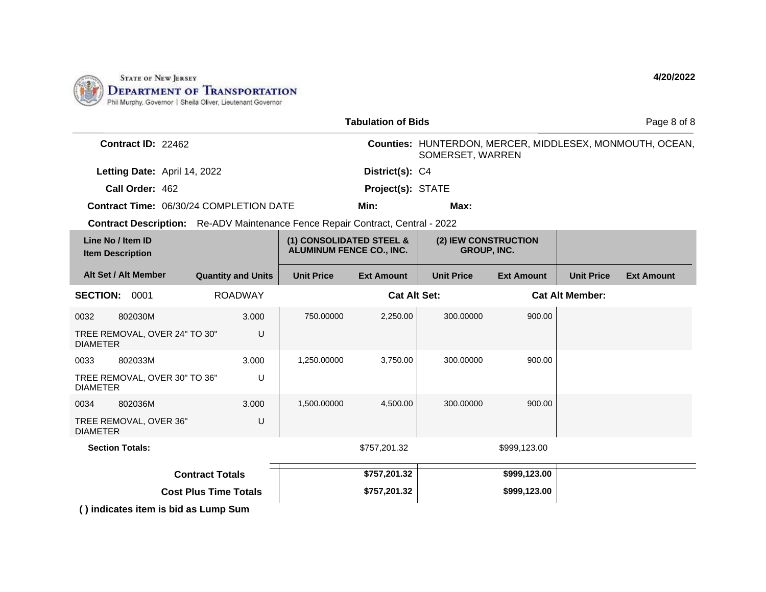

|                                                                                       |                              |                                                             | <b>Tabulation of Bids</b> |                                            |                   |                        | Page 8 of 8                                              |
|---------------------------------------------------------------------------------------|------------------------------|-------------------------------------------------------------|---------------------------|--------------------------------------------|-------------------|------------------------|----------------------------------------------------------|
| Contract ID: 22462                                                                    |                              |                                                             |                           | SOMERSET, WARREN                           |                   |                        | Counties: HUNTERDON, MERCER, MIDDLESEX, MONMOUTH, OCEAN, |
| Letting Date: April 14, 2022                                                          |                              |                                                             | District(s): C4           |                                            |                   |                        |                                                          |
| Call Order: 462                                                                       |                              |                                                             | Project(s): STATE         |                                            |                   |                        |                                                          |
| Contract Time: 06/30/24 COMPLETION DATE                                               |                              |                                                             | Min:                      | Max:                                       |                   |                        |                                                          |
| <b>Contract Description:</b> Re-ADV Maintenance Fence Repair Contract, Central - 2022 |                              |                                                             |                           |                                            |                   |                        |                                                          |
| Line No / Item ID<br><b>Item Description</b>                                          |                              | (1) CONSOLIDATED STEEL &<br><b>ALUMINUM FENCE CO., INC.</b> |                           | (2) IEW CONSTRUCTION<br><b>GROUP, INC.</b> |                   |                        |                                                          |
| Alt Set / Alt Member                                                                  | <b>Quantity and Units</b>    | <b>Unit Price</b>                                           | <b>Ext Amount</b>         | <b>Unit Price</b>                          | <b>Ext Amount</b> | <b>Unit Price</b>      | <b>Ext Amount</b>                                        |
| <b>SECTION: 0001</b>                                                                  | <b>ROADWAY</b>               |                                                             | <b>Cat Alt Set:</b>       |                                            |                   | <b>Cat Alt Member:</b> |                                                          |
| 802030M<br>0032                                                                       | 3.000                        | 750.00000                                                   | 2,250.00                  | 300.00000                                  | 900.00            |                        |                                                          |
| TREE REMOVAL, OVER 24" TO 30"<br><b>DIAMETER</b>                                      | U                            |                                                             |                           |                                            |                   |                        |                                                          |
| 802033M<br>0033                                                                       | 3.000                        | 1,250.00000                                                 | 3,750.00                  | 300.00000                                  | 900.00            |                        |                                                          |
| TREE REMOVAL, OVER 30" TO 36"<br><b>DIAMETER</b>                                      | U                            |                                                             |                           |                                            |                   |                        |                                                          |
| 802036M<br>0034                                                                       | 3.000                        | 1,500.00000                                                 | 4,500.00                  | 300.00000                                  | 900.00            |                        |                                                          |
| TREE REMOVAL, OVER 36"<br><b>DIAMETER</b>                                             | U                            |                                                             |                           |                                            |                   |                        |                                                          |
| <b>Section Totals:</b>                                                                |                              |                                                             | \$757,201.32              |                                            | \$999,123.00      |                        |                                                          |
|                                                                                       | <b>Contract Totals</b>       |                                                             | \$757,201.32              |                                            | \$999,123.00      |                        |                                                          |
|                                                                                       | <b>Cost Plus Time Totals</b> |                                                             | \$757,201.32              |                                            | \$999,123.00      |                        |                                                          |
| () indicates item is bid as Lump Sum                                                  |                              |                                                             |                           |                                            |                   |                        |                                                          |